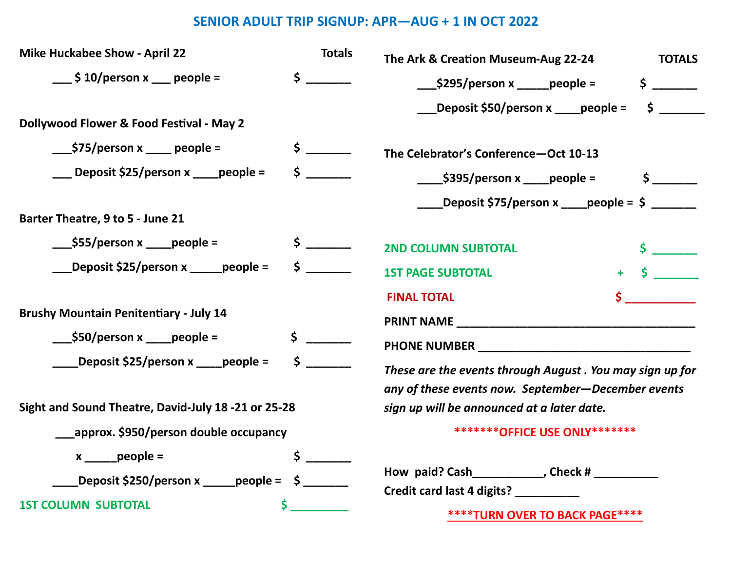## **SENIOR ADULT TRIP SIGNUP: APR—AUG + 1 IN OCT 2022**

| <b>Mike Huckabee Show - April 22</b>                                                                    | <b>Totals</b>                             | The Ark & Creation Museum-Aug 22-24                                                                                                                                                                                            | <b>TOTALS</b>                                                                                                                                                                                                                                                                                    |
|---------------------------------------------------------------------------------------------------------|-------------------------------------------|--------------------------------------------------------------------------------------------------------------------------------------------------------------------------------------------------------------------------------|--------------------------------------------------------------------------------------------------------------------------------------------------------------------------------------------------------------------------------------------------------------------------------------------------|
| $\frac{1}{2}$ \$ 10/person x people =                                                                   |                                           | $\frac{\sqrt{295}}{\sqrt{25}}$ \$295/person x ______ people =                                                                                                                                                                  |                                                                                                                                                                                                                                                                                                  |
| Dollywood Flower & Food Festival - May 2                                                                |                                           | Deposit \$50/person x _____people =                                                                                                                                                                                            | $\mathsf{\$}$                                                                                                                                                                                                                                                                                    |
| $\frac{\pi}{2}$ \$75/person x $\frac{\pi}{2}$ people =                                                  | $\frac{1}{2}$                             | The Celebrator's Conference-Oct 10-13                                                                                                                                                                                          |                                                                                                                                                                                                                                                                                                  |
| __ Deposit \$25/person x ____ people =                                                                  | $\frac{1}{2}$                             | $\frac{1}{2}$ \$395/person x people = \$                                                                                                                                                                                       |                                                                                                                                                                                                                                                                                                  |
|                                                                                                         |                                           | Deposit \$75/person x ____people = $\frac{1}{2}$ _______                                                                                                                                                                       |                                                                                                                                                                                                                                                                                                  |
| Barter Theatre, 9 to 5 - June 21                                                                        |                                           |                                                                                                                                                                                                                                |                                                                                                                                                                                                                                                                                                  |
| $\frac{\sqrt{555}}{\sqrt{255}}$ (person x $\frac{\sqrt{255}}{\sqrt{255}}$                               | $\frac{1}{2}$                             | <b>2ND COLUMN SUBTOTAL</b>                                                                                                                                                                                                     | $\mathsf{S}$ and $\mathsf{S}$                                                                                                                                                                                                                                                                    |
| Deposit \$25/person x _____people =                                                                     | $\frac{1}{2}$                             | <b>1ST PAGE SUBTOTAL</b>                                                                                                                                                                                                       | $\sim$ $\sim$                                                                                                                                                                                                                                                                                    |
|                                                                                                         |                                           | <b>FINAL TOTAL</b>                                                                                                                                                                                                             | $\mathsf{S}$ and $\mathsf{S}$ and $\mathsf{S}$ and $\mathsf{S}$ and $\mathsf{S}$ are $\mathsf{S}$ and $\mathsf{S}$ and $\mathsf{S}$ are $\mathsf{S}$ and $\mathsf{S}$ are $\mathsf{S}$ and $\mathsf{S}$ are $\mathsf{S}$ and $\mathsf{S}$ are $\mathsf{S}$ and $\mathsf{S}$ are $\mathsf{S}$ and |
| <b>Brushy Mountain Penitentiary - July 14</b>                                                           |                                           |                                                                                                                                                                                                                                |                                                                                                                                                                                                                                                                                                  |
|                                                                                                         | \$.                                       | PHONE NUMBER MANAGEMENT AND RESIDENCE AND RESIDENCE AND RESIDENCE AND RESIDENCE AND RESIDENCE AND RESIDENCE AND RESIDENCE AND RESIDENCE AND RESIDENCE AND RESIDENCE AND RESIDENCE AND RESIDENCE AND RESIDENCE AND RESIDENCE AN |                                                                                                                                                                                                                                                                                                  |
| _Deposit \$25/person x _____people =                                                                    | $\mathsf{\dot{S}}$ and $\mathsf{\dot{S}}$ | These are the events through August . You may sign up for                                                                                                                                                                      |                                                                                                                                                                                                                                                                                                  |
|                                                                                                         |                                           | any of these events now. September-December events                                                                                                                                                                             |                                                                                                                                                                                                                                                                                                  |
| Sight and Sound Theatre, David-July 18 -21 or 25-28                                                     |                                           | sign up will be announced at a later date.                                                                                                                                                                                     |                                                                                                                                                                                                                                                                                                  |
| _approx. \$950/person double occupancy                                                                  |                                           | ********OFFICE USE ONLY*******                                                                                                                                                                                                 |                                                                                                                                                                                                                                                                                                  |
| $x \_\_\_$ people =<br>_Deposit \$250/person x ______people = \$ ________<br><b>1ST COLUMN SUBTOTAL</b> | \$                                        | How paid? Cash______________, Check # ___________<br>Credit card last 4 digits? __________<br>****TURN OVER TO BACK PAGE****                                                                                                   |                                                                                                                                                                                                                                                                                                  |